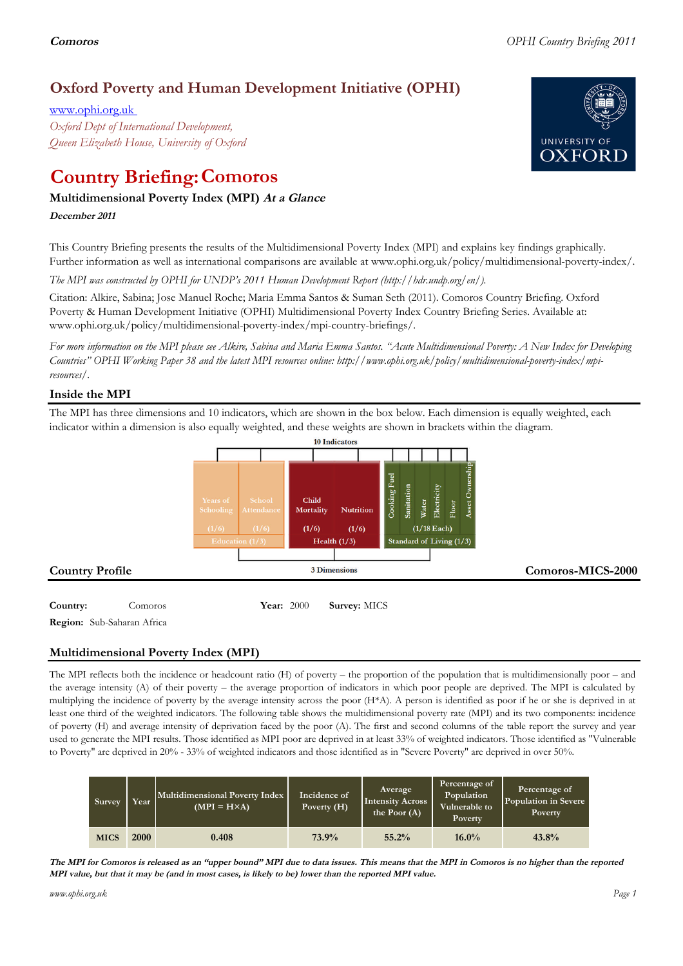# **Oxford Poverty and Human Development Initiative (OPHI)**

www.ophi.org.uk *Oxford Dept of International Development, Queen Elizabeth House, University of Oxford*

# **Country Briefing: Comoros**

# **Multidimensional Poverty Index (MPI) At <sup>a</sup> Glance**

**December <sup>2011</sup>**

This Country Briefing presents the results of the Multidimensional Poverty Index (MPI) and explains key findings graphically. Further information as well as international comparisons are available at www.ophi.org.uk/policy/multidimensional-poverty-index/.

*The MPI was constructed by OPHI for UNDP's 2011 Human Development Report (http://hdr.undp.org/en/).*

Citation: Alkire, Sabina; Jose Manuel Roche; Maria Emma Santos & Suman Seth (2011). Comoros Country Briefing. Oxford Poverty & Human Development Initiative (OPHI) Multidimensional Poverty Index Country Briefing Series. Available at: www.ophi.org.uk/policy/multidimensional-poverty-index/mpi-country-briefings/.

*For more information on the MPI please see Alkire, Sabina and Maria Emma Santos. "Acute Multidimensional Poverty: A New Index for Developing Countries" OPHI Working Paper 38 and the latest MPI resources online: http://www.ophi.org.uk/policy/multidimensional-poverty-index/mpiresources/.*

# **Inside the MPI**

The MPI has three dimensions and 10 indicators, which are shown in the box below. Each dimension is equally weighted, each indicator within a dimension is also equally weighted, and these weights are shown in brackets within the diagram.



**Region:** Sub-Saharan Africa

# **Multidimensional Poverty Index (MPI)**

The MPI reflects both the incidence or headcount ratio (H) of poverty – the proportion of the population that is multidimensionally poor – and the average intensity (A) of their poverty – the average proportion of indicators in which poor people are deprived. The MPI is calculated by multiplying the incidence of poverty by the average intensity across the poor (H\*A). A person is identified as poor if he or she is deprived in at least one third of the weighted indicators. The following table shows the multidimensional poverty rate (MPI) and its two components: incidence of poverty (H) and average intensity of deprivation faced by the poor (A). The first and second columns of the table report the survey and year used to generate the MPI results. Those identified as MPI poor are deprived in at least 33% of weighted indicators. Those identified as "Vulnerable to Poverty" are deprived in 20% - 33% of weighted indicators and those identified as in "Severe Poverty" are deprived in over 50%.

| Survey      | Year        | Multidimensional Poverty Index<br>$(MPI = H \times A)$ | Incidence of<br>Poverty $(H)$ | Average<br><b>Intensity Across</b><br>the Poor $(A)$ | Percentage of<br>Population<br>Vulnerable to<br><b>Poverty</b> | Percentage of<br>Population in Severe<br>Poverty |
|-------------|-------------|--------------------------------------------------------|-------------------------------|------------------------------------------------------|----------------------------------------------------------------|--------------------------------------------------|
| <b>MICS</b> | <b>2000</b> | 0.408                                                  | 73.9%                         | 55.2%                                                | $16.0\%$                                                       | 43.8%                                            |

The MPI for Comoros is released as an "upper bound" MPI due to data issues. This means that the MPI in Comoros is no higher than the reported MPI value, but that it may be (and in most cases, is likely to be) lower than the reported MPI value.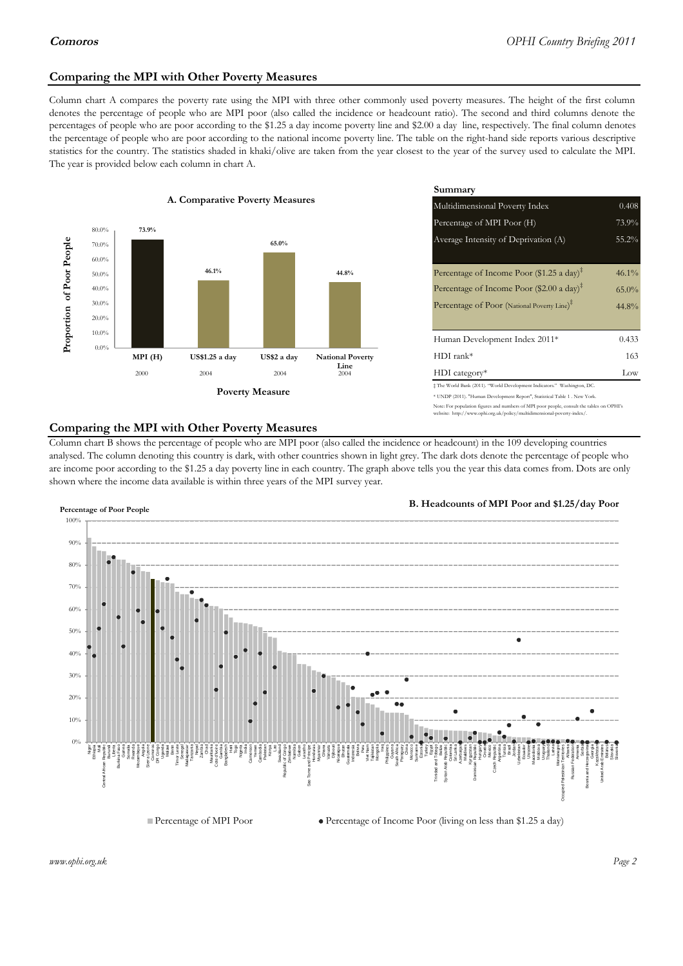## **Comparing the MPI with Other Poverty Measures**

Column chart A compares the poverty rate using the MPI with three other commonly used poverty measures. The height of the first column denotes the percentage of people who are MPI poor (also called the incidence or headcount ratio). The second and third columns denote the percentages of people who are poor according to the \$1.25 a day income poverty line and \$2.00 a day line, respectively. The final column denotes the percentage of people who are poor according to the national income poverty line. The table on the right-hand side reports various descriptive statistics for the country. The statistics shaded in khaki/olive are taken from the year closest to the year of the survey used to calculate the MPI. The year is provided below each column in chart A.



|                 |                         | Summary                                                                                                                                                    |          |  |  |
|-----------------|-------------------------|------------------------------------------------------------------------------------------------------------------------------------------------------------|----------|--|--|
| erty Measures   |                         | Multidimensional Poverty Index<br>0.408                                                                                                                    |          |  |  |
|                 |                         | Percentage of MPI Poor (H)                                                                                                                                 | 73.9%    |  |  |
| 65.0%           |                         | Average Intensity of Deprivation (A)                                                                                                                       | 55.2%    |  |  |
|                 | 44.8%                   | Percentage of Income Poor (\$1.25 a day) <sup><math>\ddagger</math></sup>                                                                                  | $46.1\%$ |  |  |
|                 |                         | Percentage of Income Poor (\$2.00 a day) <sup><math>\bar{x}</math></sup>                                                                                   | $65.0\%$ |  |  |
|                 |                         | Percentage of Poor (National Poverty Line) <sup>#</sup>                                                                                                    | 44.8%    |  |  |
|                 |                         | Human Development Index 2011*                                                                                                                              | 0.433    |  |  |
| US\$2 a day     | <b>National Poverty</b> | $HDI$ rank*                                                                                                                                                | 163      |  |  |
| 2004            | Line<br>2004            | $HDI category*$                                                                                                                                            | Low      |  |  |
| <b>⁄Ieasure</b> |                         | $\pm$ The World Bank (2011). "World Development Indicators." Washington, DC.<br>* UNDP (2011). "Human Development Report", Statistical Table 1 . New York. |          |  |  |

te: For population figures and numbers of MPI poor people, consult the tables on OPHI's te: http://www.ophi.org.uk/policy/multidimensional-poverty-index/

### **Comparing the MPI with Other Poverty Measures**

Column chart B shows the percentage of people who are MPI poor (also called the incidence or headcount) in the 109 developing countries analysed. The column denoting this country is dark, with other countries shown in light grey. The dark dots denote the percentage of people who are income poor according to the \$1.25 a day poverty line in each country. The graph above tells you the year this data comes from. Dots are only shown where the income data available is within three years of the MPI survey year.



**B. Headcounts of MPI Poor and \$1.25/day Poor**



*www.ophi.org.uk Page 2*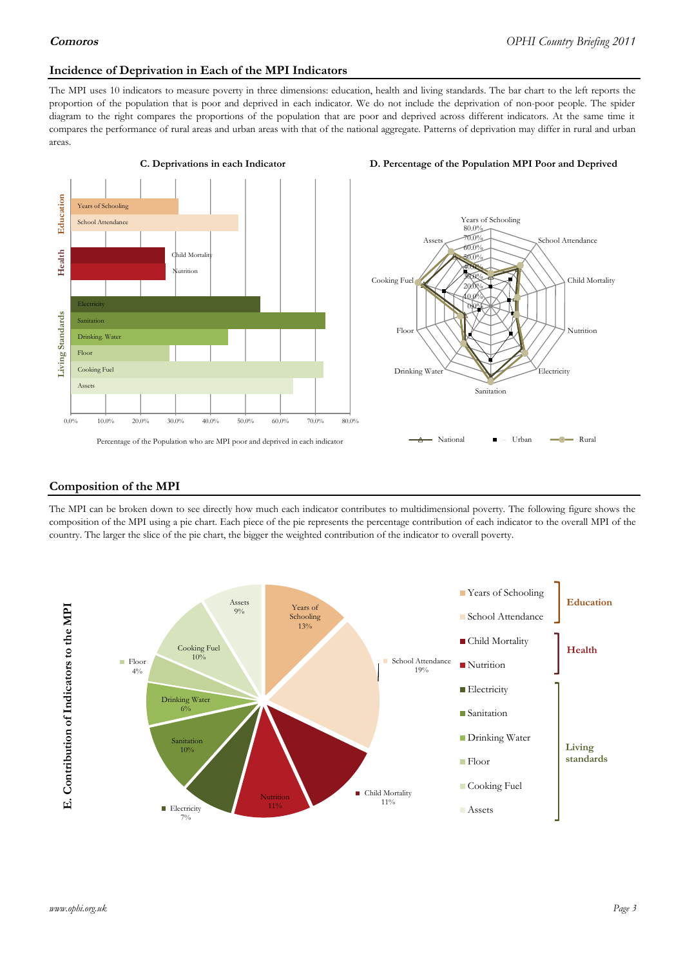### **Incidence of Deprivation in Each of the MPI Indicators**

The MPI uses 10 indicators to measure poverty in three dimensions: education, health and living standards. The bar chart to the left reports the proportion of the population that is poor and deprived in each indicator. We do not include the deprivation of non-poor people. The spider diagram to the right compares the proportions of the population that are poor and deprived across different indicators. At the same time it compares the performance of rural areas and urban areas with that of the national aggregate. Patterns of deprivation may differ in rural and urban areas.





### **Composition of the MPI**

The MPI can be broken down to see directly how much each indicator contributes to multidimensional poverty. The following figure shows the composition of the MPI using a pie chart. Each piece of the pie represents the percentage contribution of each indicator to the overall MPI of the country. The larger the slice of the pie chart, the bigger the weighted contribution of the indicator to overall poverty.